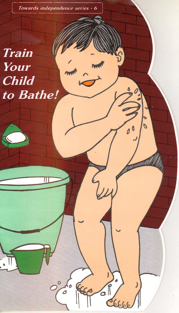Towards independence series - 6

 $\boldsymbol{O}$ 

 $\overline{\mathcal{E}}$ 

G

 $-6666$ 

 $\overline{\mathcal{O}}$ 

00

# Train Your Child to Bathe!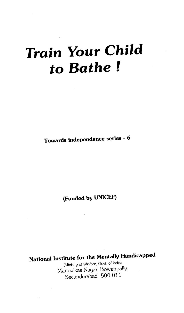# Train Your Child to Bathe!

Towards independence series - <sup>6</sup>

(Funded by UNICEF)

National Institute for the Mentally Handicapped

(Ministry of Welfare, Govt. of India)<br>Manovikas Nagar, Bowenpally, Secunderabad 500 011

 $\sim 100$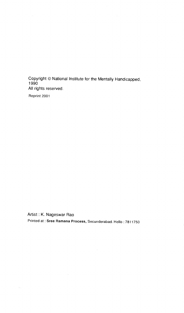Copyright © National Institute for the Mentally Handicapped, 1990 All rights reserved.

Reprint 2001

Artist : K. Nageswar Rao Printed at : Sree Ramana Process, Secunderabad. Hello : 7811750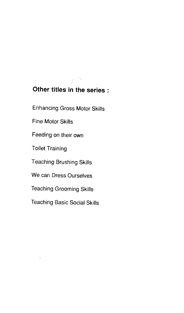### Other titles in the series :

Enhancing Gross Motor Skills

Fine Motor Skills

Feeding on their own.

Toilet Training

Teaching Brushing Skills

We can Dress Ourselves

Teaching Grooming Skills

Teaching Basic Social Skills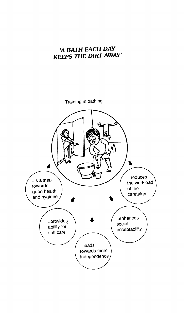### 'A BATH EACH DAY KEEPS THE DIRT AWAY'

Training in bathing . . . .  $\bigwedge$ ⋟ ✔ .. reduces ..is a step the workload towards of the good health caretaker and hygiene b..enhances<br>social<br>acceptability ..provides ability for self care .. leads towards more independence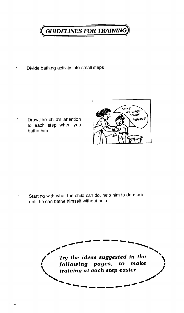

Divide bathing activity into small steps

Draw the child's attention to each step when you bathe him



Starting with what the child can do, help him to do more until he can bathe himself without help.

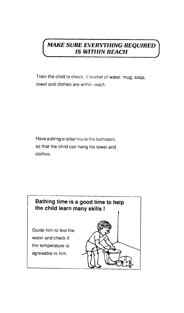# MAKE SURE EVERYTHING REQUIRED<br>IS WITHIN REACH

Train the child to check, if bucket of water, mug, soap, towel and clothes are within reach.

Have a string ora bar inside the bathroom, so that the child can hang his towel and clothes.

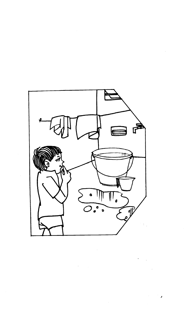

J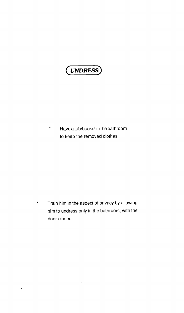**UNDRESS** 

Have a tub/bucket in the bathroom to keep the removed clothes

Train him in the aspect of privacy by allowing him to undress only in the bathroom, with the door closed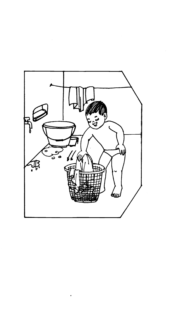

 $\ddot{\phantom{0}}$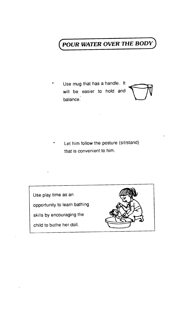### POUR WATER OVER THE BODY

Use mug that has a handle. It will be easier to hold and balance.

Let him follow the posture (sit/stand) that is convenient to him.

Use play time as an opportunity to learn bathing skills by encouraging the child to bathe her doll.

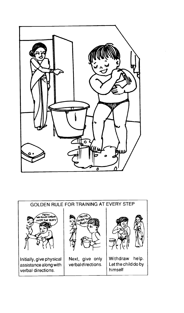

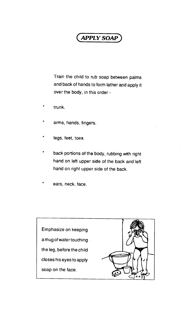# **APPLY SOAP**

Train the child to rub soap between palms and back of hands to form lather and apply it over the body, in this order -

- \* trunk.
- arms, hands, fingers.
- \* legs, feet, toes.
- back portions of the body, rubbing with right hand on left upper side of the back and left hand on. right upper side of the back.
- ears, neck, face.

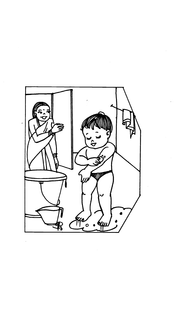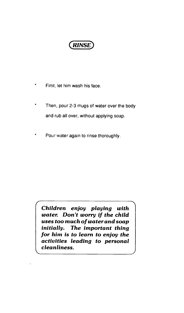**RINSE** 

- First, let him wash his face.
- Then, pour 2-3 mugs of water over the body and rub all over, without applying soap.
- Pour water again to rinse thoroughly.

Children enjoy playing with water. Don 't worry if the child uses too much of water and soap initially. The important thing for him is to learn to enjoy the activities leading to personal cleanliness.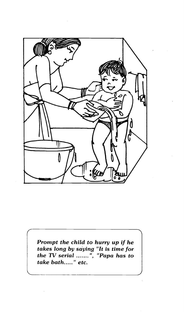

Prompt the child to hurry up if he takes long by saying "It is time for the TV serial .......", "Papa has to  $\qquad \qquad \mid$ take bath ....." etc.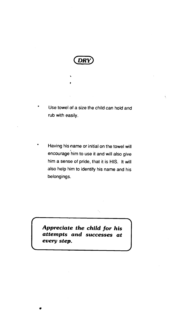(DRY)

Use towel of a size the child can hold and rub with easily.

Í,

Having his name or initial on the towel will encourage him to use it and will also give him a sense of pride, that it is HIS. It will also help him to identify his name and his belongings.

Appreciate the child for his attempts and successes at  $\overline{\phantom{a}}$ every step.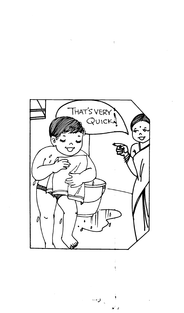

 $\ddot{\cdot}$ 

 $\mathcal{L}$ 

 $\hat{\mathcal{L}}_1$ 

 $\rightarrow \frac{1}{2}$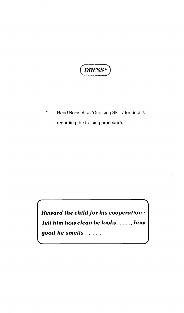DRESS\*

Read Bookiet on 'Dressing Skills' for details regarding the training procedure.

Reward the child for his cooperation: Tell him how clean he looks  $\dots$ , how good he smells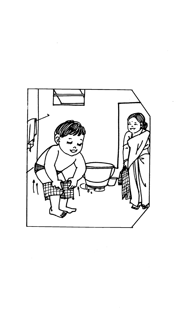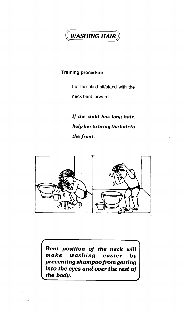

#### Training procedure

I. Let the child sit/stand with the neck bent forward.

> If the child has long hair, help her to bring the hair to the front.



Bent position of the neck will<br>make washing easier by make washing easier preventing shampoo from getting into the eyes and over the rest of the body.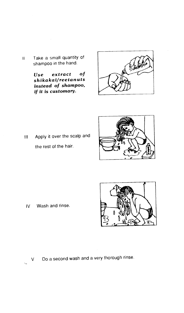Take a small quantity of  $\mathsf{H}$ shampoo in the hand.

> Use extract of shikakai/reetanuts instead of shampoo, if it is customary.



III Apply it over the scalp and the rest of the hair.







V Do a second wash and a very thorough rinse.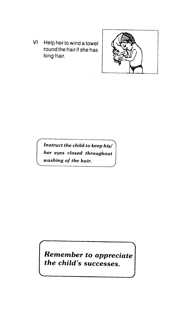VI Help her to wind a towel round the hair if she has long hair.



Instruct the child to keep his/ her eyes closed throughout washing of the hair.

Remember to appreciate<br>the child's successes. J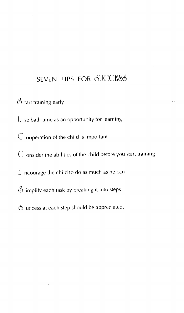## SEVEN TIPS FOR SUCCESS

- $\delta$  tart training early
- U se bath time as an opportunity for learning
- C ooperation of the child is important
- C onsider the abilities of the child before you start training
- $E$  ncourage the child to do as much as he can
- $\delta$  implify each task by breaking it into steps
- $\delta$  uccess at each step should be appreciated.